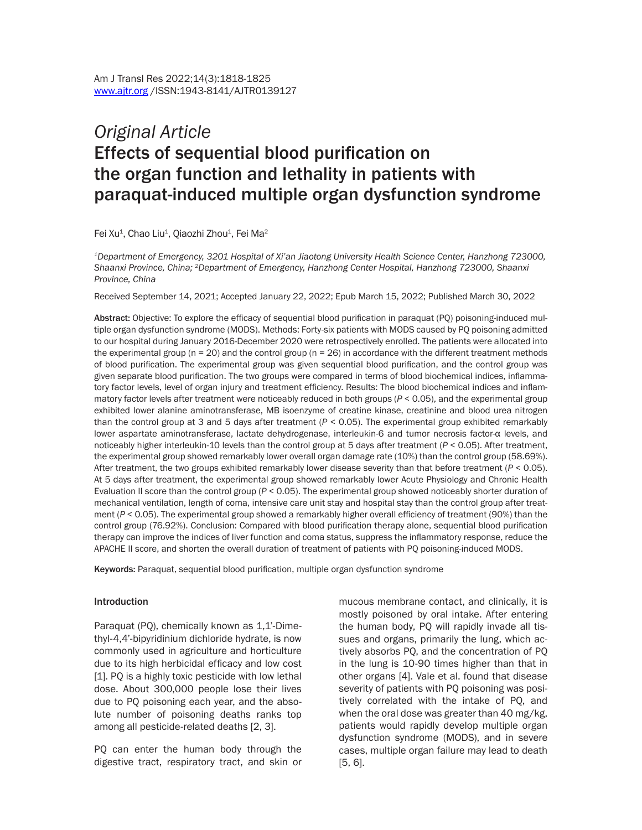# *Original Article* Effects of sequential blood purification on the organ function and lethality in patients with paraquat-induced multiple organ dysfunction syndrome

Fei Xu<sup>1</sup>, Chao Liu<sup>1</sup>, Qiaozhi Zhou<sup>1</sup>, Fei Ma<sup>2</sup>

*1Department of Emergency, 3201 Hospital of Xi'an Jiaotong University Health Science Center, Hanzhong 723000, Shaanxi Province, China; 2Department of Emergency, Hanzhong Center Hospital, Hanzhong 723000, Shaanxi Province, China*

Received September 14, 2021; Accepted January 22, 2022; Epub March 15, 2022; Published March 30, 2022

Abstract: Objective: To explore the efficacy of sequential blood purification in paraquat (PQ) poisoning-induced multiple organ dysfunction syndrome (MODS). Methods: Forty-six patients with MODS caused by PQ poisoning admitted to our hospital during January 2016-December 2020 were retrospectively enrolled. The patients were allocated into the experimental group ( $n = 20$ ) and the control group ( $n = 26$ ) in accordance with the different treatment methods of blood purification. The experimental group was given sequential blood purification, and the control group was given separate blood purification. The two groups were compared in terms of blood biochemical indices, inflammatory factor levels, level of organ injury and treatment efficiency. Results: The blood biochemical indices and inflammatory factor levels after treatment were noticeably reduced in both groups (*P* < 0.05), and the experimental group exhibited lower alanine aminotransferase, MB isoenzyme of creatine kinase, creatinine and blood urea nitrogen than the control group at 3 and 5 days after treatment (*P* < 0.05). The experimental group exhibited remarkably lower aspartate aminotransferase, lactate dehydrogenase, interleukin-6 and tumor necrosis factor-α levels, and noticeably higher interleukin-10 levels than the control group at 5 days after treatment (*P* < 0.05). After treatment, the experimental group showed remarkably lower overall organ damage rate (10%) than the control group (58.69%). After treatment, the two groups exhibited remarkably lower disease severity than that before treatment (*P* < 0.05). At 5 days after treatment, the experimental group showed remarkably lower Acute Physiology and Chronic Health Evaluation II score than the control group (*P* < 0.05). The experimental group showed noticeably shorter duration of mechanical ventilation, length of coma, intensive care unit stay and hospital stay than the control group after treatment (*P* < 0.05). The experimental group showed a remarkably higher overall efficiency of treatment (90%) than the control group (76.92%). Conclusion: Compared with blood purification therapy alone, sequential blood purification therapy can improve the indices of liver function and coma status, suppress the inflammatory response, reduce the APACHE II score, and shorten the overall duration of treatment of patients with PQ poisoning-induced MODS.

Keywords: Paraquat, sequential blood purification, multiple organ dysfunction syndrome

#### **Introduction**

Paraquat (PQ), chemically known as 1,1'-Dimethyl-4,4'-bipyridinium dichloride hydrate, is now commonly used in agriculture and horticulture due to its high herbicidal efficacy and low cost [1]. PQ is a highly toxic pesticide with low lethal dose. About 300,000 people lose their lives due to PQ poisoning each year, and the absolute number of poisoning deaths ranks top among all pesticide-related deaths [2, 3].

PQ can enter the human body through the digestive tract, respiratory tract, and skin or mucous membrane contact, and clinically, it is mostly poisoned by oral intake. After entering the human body, PQ will rapidly invade all tissues and organs, primarily the lung, which actively absorbs PQ, and the concentration of PQ in the lung is 10-90 times higher than that in other organs [4]. Vale et al. found that disease severity of patients with PQ poisoning was positively correlated with the intake of PQ, and when the oral dose was greater than 40 mg/kg, patients would rapidly develop multiple organ dysfunction syndrome (MODS), and in severe cases, multiple organ failure may lead to death [5, 6].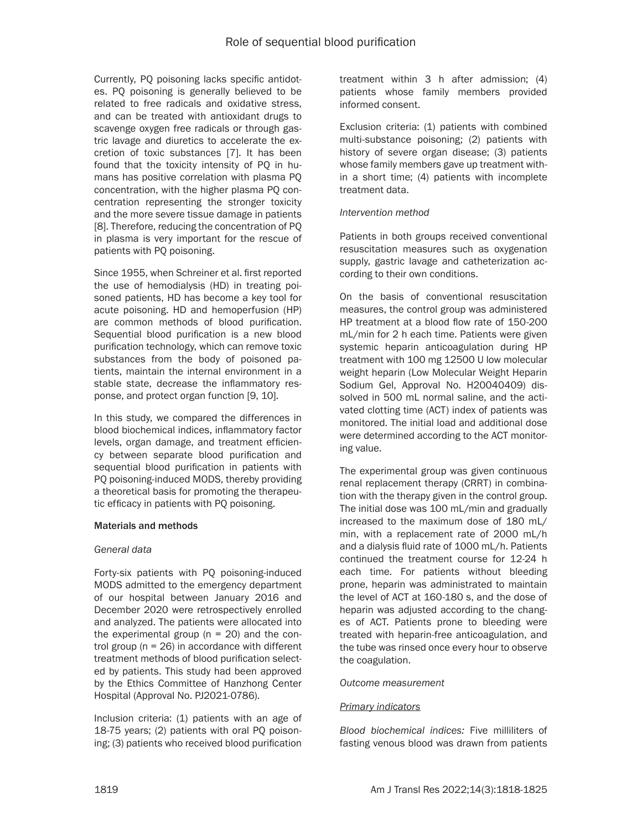Currently, PQ poisoning lacks specific antidotes. PQ poisoning is generally believed to be related to free radicals and oxidative stress, and can be treated with antioxidant drugs to scavenge oxygen free radicals or through gastric lavage and diuretics to accelerate the excretion of toxic substances [7]. It has been found that the toxicity intensity of PQ in humans has positive correlation with plasma PQ concentration, with the higher plasma PQ concentration representing the stronger toxicity and the more severe tissue damage in patients [8]. Therefore, reducing the concentration of PQ in plasma is very important for the rescue of patients with PQ poisoning.

Since 1955, when Schreiner et al. first reported the use of hemodialysis (HD) in treating poisoned patients, HD has become a key tool for acute poisoning. HD and hemoperfusion (HP) are common methods of blood purification. Sequential blood purification is a new blood purification technology, which can remove toxic substances from the body of poisoned patients, maintain the internal environment in a stable state, decrease the inflammatory response, and protect organ function [9, 10].

In this study, we compared the differences in blood biochemical indices, inflammatory factor levels, organ damage, and treatment efficiency between separate blood purification and sequential blood purification in patients with PQ poisoning-induced MODS, thereby providing a theoretical basis for promoting the therapeutic efficacy in patients with PQ poisoning.

## Materials and methods

#### *General data*

Forty-six patients with PQ poisoning-induced MODS admitted to the emergency department of our hospital between January 2016 and December 2020 were retrospectively enrolled and analyzed. The patients were allocated into the experimental group  $(n = 20)$  and the control group (n = 26) in accordance with different treatment methods of blood purification selected by patients. This study had been approved by the Ethics Committee of Hanzhong Center Hospital (Approval No. PJ2021-0786).

Inclusion criteria: (1) patients with an age of 18-75 years; (2) patients with oral PQ poisoning; (3) patients who received blood purification treatment within 3 h after admission; (4) patients whose family members provided informed consent.

Exclusion criteria: (1) patients with combined multi-substance poisoning; (2) patients with history of severe organ disease; (3) patients whose family members gave up treatment within a short time; (4) patients with incomplete treatment data.

#### *Intervention method*

Patients in both groups received conventional resuscitation measures such as oxygenation supply, gastric lavage and catheterization according to their own conditions.

On the basis of conventional resuscitation measures, the control group was administered HP treatment at a blood flow rate of 150-200 mL/min for 2 h each time. Patients were given systemic heparin anticoagulation during HP treatment with 100 mg 12500 U low molecular weight heparin (Low Molecular Weight Heparin Sodium Gel, Approval No. H20040409) dissolved in 500 mL normal saline, and the activated clotting time (ACT) index of patients was monitored. The initial load and additional dose were determined according to the ACT monitoring value.

The experimental group was given continuous renal replacement therapy (CRRT) in combination with the therapy given in the control group. The initial dose was 100 mL/min and gradually increased to the maximum dose of 180 mL/ min, with a replacement rate of 2000 mL/h and a dialysis fluid rate of 1000 mL/h. Patients continued the treatment course for 12-24 h each time. For patients without bleeding prone, heparin was administrated to maintain the level of ACT at 160-180 s, and the dose of heparin was adjusted according to the changes of ACT. Patients prone to bleeding were treated with heparin-free anticoagulation, and the tube was rinsed once every hour to observe the coagulation.

## *Outcome measurement*

## *Primary indicators*

*Blood biochemical indices:* Five milliliters of fasting venous blood was drawn from patients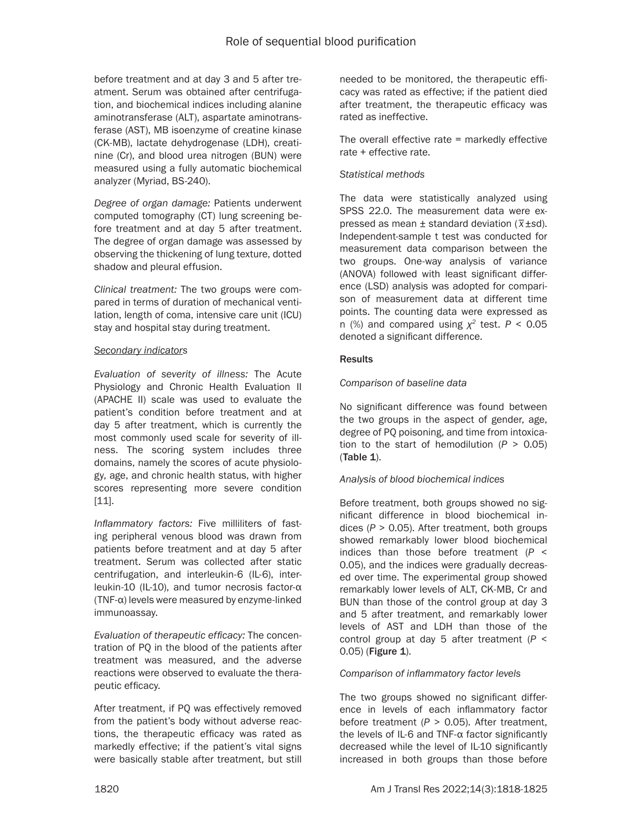before treatment and at day 3 and 5 after treatment. Serum was obtained after centrifugation, and biochemical indices including alanine aminotransferase (ALT), aspartate aminotransferase (AST), MB isoenzyme of creatine kinase (CK-MB), lactate dehydrogenase (LDH), creatinine (Cr), and blood urea nitrogen (BUN) were measured using a fully automatic biochemical analyzer (Myriad, BS-240).

*Degree of organ damage:* Patients underwent computed tomography (CT) lung screening before treatment and at day 5 after treatment. The degree of organ damage was assessed by observing the thickening of lung texture, dotted shadow and pleural effusion.

*Clinical treatment:* The two groups were compared in terms of duration of mechanical ventilation, length of coma, intensive care unit (ICU) stay and hospital stay during treatment.

## *Secondary indicators*

*Evaluation of severity of illness:* The Acute Physiology and Chronic Health Evaluation II (APACHE II) scale was used to evaluate the patient's condition before treatment and at day 5 after treatment, which is currently the most commonly used scale for severity of illness. The scoring system includes three domains, namely the scores of acute physiology, age, and chronic health status, with higher scores representing more severe condition [11].

*Inflammatory factors:* Five milliliters of fasting peripheral venous blood was drawn from patients before treatment and at day 5 after treatment. Serum was collected after static centrifugation, and interleukin-6 (IL-6), interleukin-10 (IL-10), and tumor necrosis factor-α (TNF-α) levels were measured by enzyme-linked immunoassay.

*Evaluation of therapeutic efficacy:* The concentration of PQ in the blood of the patients after treatment was measured, and the adverse reactions were observed to evaluate the therapeutic efficacy.

After treatment, if PQ was effectively removed from the patient's body without adverse reactions, the therapeutic efficacy was rated as markedly effective; if the patient's vital signs were basically stable after treatment, but still needed to be monitored, the therapeutic efficacy was rated as effective; if the patient died after treatment, the therapeutic efficacy was rated as ineffective.

The overall effective rate = markedly effective rate + effective rate.

## *Statistical methods*

The data were statistically analyzed using SPSS 22.0. The measurement data were expressed as mean ± standard deviation (*\_ x*±*s*d). Independent-sample t test was conducted for measurement data comparison between the two groups. One-way analysis of variance (ANOVA) followed with least significant difference (LSD) analysis was adopted for comparison of measurement data at different time points. The counting data were expressed as n (%) and compared using *χ<sup>2</sup>* test. *P* < 0.05 denoted a significant difference.

## **Results**

# *Comparison of baseline data*

No significant difference was found between the two groups in the aspect of gender, age, degree of PQ poisoning, and time from intoxication to the start of hemodilution (*P* > 0.05) (Table 1).

# *Analysis of blood biochemical indices*

Before treatment, both groups showed no significant difference in blood biochemical indices (*P* > 0.05). After treatment, both groups showed remarkably lower blood biochemical indices than those before treatment (*P* < 0.05), and the indices were gradually decreased over time. The experimental group showed remarkably lower levels of ALT, CK-MB, Cr and BUN than those of the control group at day 3 and 5 after treatment, and remarkably lower levels of AST and LDH than those of the control group at day 5 after treatment (*P* < 0.05) (Figure 1).

## *Comparison of inflammatory factor levels*

The two groups showed no significant difference in levels of each inflammatory factor before treatment (*P* > 0.05). After treatment, the levels of IL-6 and TNF-α factor significantly decreased while the level of IL-10 significantly increased in both groups than those before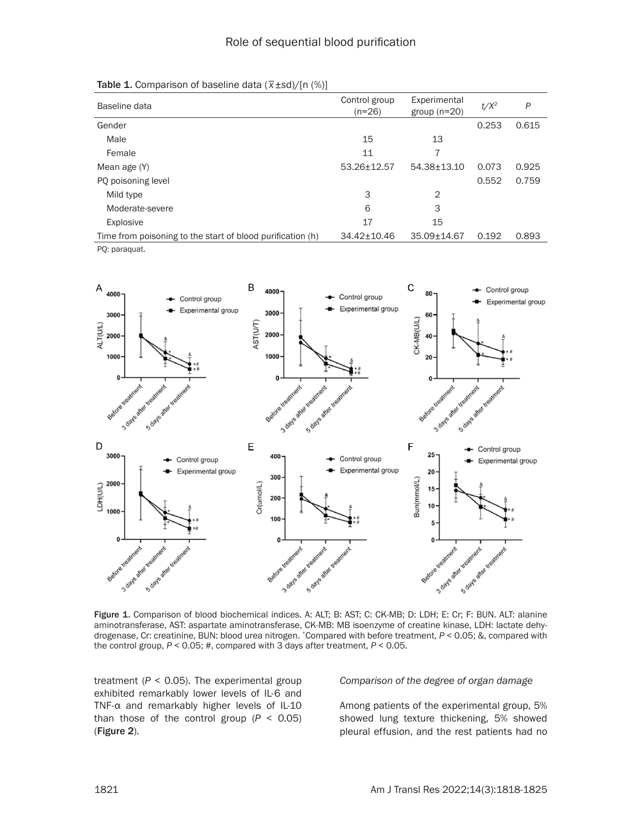| Baseline data                                              | Control group<br>$(n=26)$ | Experimental<br>group $(n=20)$ | $t/X^2$ | P     |
|------------------------------------------------------------|---------------------------|--------------------------------|---------|-------|
| Gender                                                     |                           |                                | 0.253   | 0.615 |
| Male                                                       | 15                        | 13                             |         |       |
| Female                                                     | 11                        |                                |         |       |
| Mean age (Y)                                               | 53.26+12.57               | 54.38+13.10                    | 0.073   | 0.925 |
| PQ poisoning level                                         |                           |                                | 0.552   | 0.759 |
| Mild type                                                  | 3                         | $\mathcal{P}$                  |         |       |
| Moderate-severe                                            | 6                         | 3                              |         |       |
| Explosive                                                  | 17                        | 15                             |         |       |
| Time from poisoning to the start of blood purification (h) | 34.42±10.46               | 35.09±14.67                    | 0.192   | 0.893 |

Table 1. Comparison of baseline data (*\_ x*±*s*d)/[n (%)]

PQ: paraquat.



Figure 1. Comparison of blood biochemical indices. A: ALT; B: AST; C: CK-MB; D: LDH; E: Cr; F: BUN. ALT: alanine aminotransferase, AST: aspartate aminotransferase, CK-MB: MB isoenzyme of creatine kinase, LDH: lactate dehydrogenase, Cr: creatinine, BUN: blood urea nitrogen. \*Compared with before treatment, *P* < 0.05; &, compared with the control group, *P* < 0.05; #, compared with 3 days after treatment, *P* < 0.05.

treatment  $(P < 0.05)$ . The experimental group exhibited remarkably lower levels of IL-6 and TNF-α and remarkably higher levels of IL-10 than those of the control group  $(P < 0.05)$ (Figure 2).

*Comparison of the degree of organ damage* 

Among patients of the experimental group, 5% showed lung texture thickening, 5% showed pleural effusion, and the rest patients had no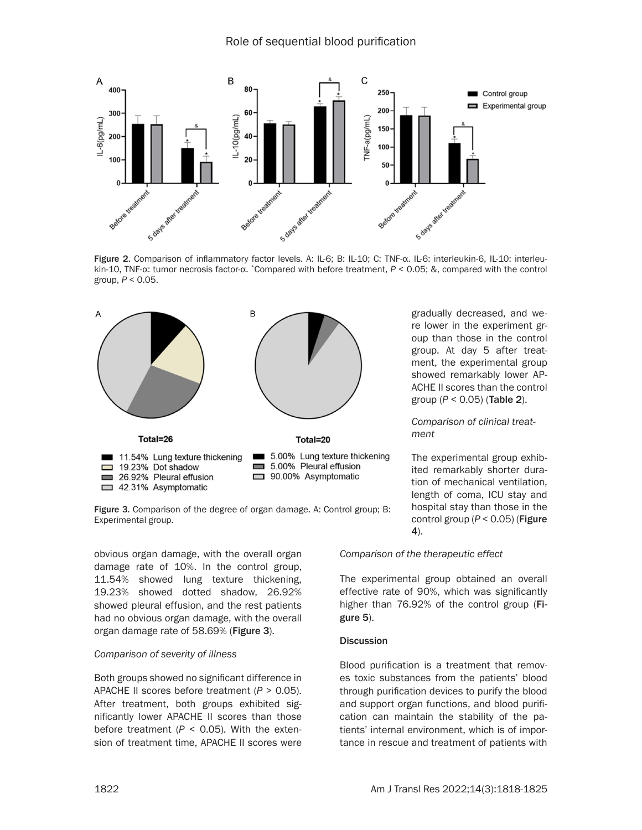

Figure 2. Comparison of inflammatory factor levels. A: IL-6; B: IL-10; C: TNF-α. IL-6: interleukin-6, IL-10: interleukin-10, TNF-α: tumor necrosis factor-α. \*Compared with before treatment, *P* < 0.05; &, compared with the control group, *P* < 0.05.



Figure 3. Comparison of the degree of organ damage. A: Control group; B: Experimental group.

obvious organ damage, with the overall organ damage rate of 10%. In the control group, 11.54% showed lung texture thickening, 19.23% showed dotted shadow, 26.92% showed pleural effusion, and the rest patients had no obvious organ damage, with the overall organ damage rate of 58.69% (Figure 3).

## *Comparison of severity of illness*

Both groups showed no significant difference in APACHE II scores before treatment (*P* > 0.05). After treatment, both groups exhibited significantly lower APACHE II scores than those before treatment  $(P < 0.05)$ . With the extension of treatment time, APACHE II scores were gradually decreased, and were lower in the experiment group than those in the control group. At day 5 after treatment, the experimental group showed remarkably lower AP-ACHE II scores than the control group (*P* < 0.05) (Table 2).

*Comparison of clinical treatment* 

The experimental group exhibited remarkably shorter duration of mechanical ventilation, length of coma, ICU stay and hospital stay than those in the control group (*P* < 0.05) (Figure 4).

*Comparison of the therapeutic effect* 

The experimental group obtained an overall effective rate of 90%, which was significantly higher than 76.92% of the control group (Figure 5).

## **Discussion**

Blood purification is a treatment that removes toxic substances from the patients' blood through purification devices to purify the blood and support organ functions, and blood purification can maintain the stability of the patients' internal environment, which is of importance in rescue and treatment of patients with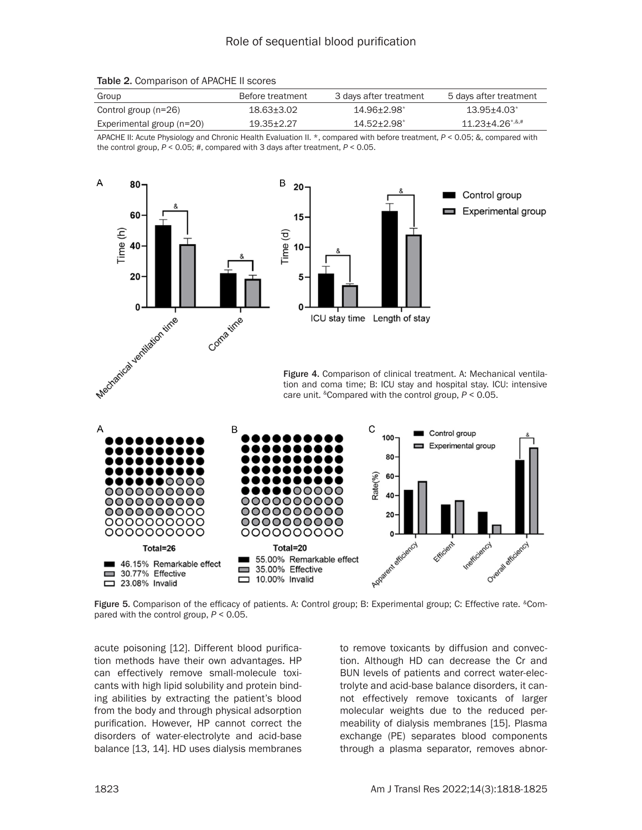| Group                       | Before treatment | 3 days after treatment | 5 days after treatment              |
|-----------------------------|------------------|------------------------|-------------------------------------|
| Control group (n=26)        | 18.63+3.02       | 14.96+2.98*            | $13.95 + 4.03^*$                    |
| Experimental group $(n=20)$ | 19.35+2.27       | $14.52 + 2.98$         | $11.23 + 4.26$ <sup>*,&amp;,#</sup> |

Table 2. Comparison of APACHE II scores

APACHE II: Acute Physiology and Chronic Health Evaluation II. \*, compared with before treatment, *P* < 0.05; &, compared with the control group, *P* < 0.05; #, compared with 3 days after treatment, *P* < 0.05.





Figure 4. Comparison of clinical treatment. A: Mechanical ventilation and coma time; B: ICU stay and hospital stay. ICU: intensive care unit. &Compared with the control group, *P* < 0.05.



Figure 5. Comparison of the efficacy of patients. A: Control group; B: Experimental group; C: Effective rate. &Compared with the control group, *P* < 0.05.

acute poisoning [12]. Different blood purification methods have their own advantages. HP can effectively remove small-molecule toxicants with high lipid solubility and protein binding abilities by extracting the patient's blood from the body and through physical adsorption purification. However, HP cannot correct the disorders of water-electrolyte and acid-base balance [13, 14]. HD uses dialysis membranes

to remove toxicants by diffusion and convection. Although HD can decrease the Cr and BUN levels of patients and correct water-electrolyte and acid-base balance disorders, it cannot effectively remove toxicants of larger molecular weights due to the reduced permeability of dialysis membranes [15]. Plasma exchange (PE) separates blood components through a plasma separator, removes abnor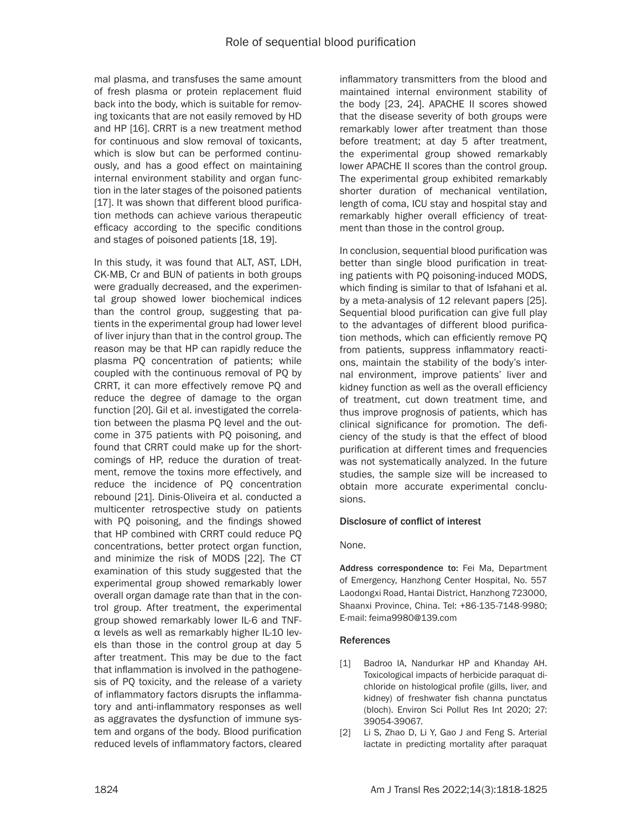mal plasma, and transfuses the same amount of fresh plasma or protein replacement fluid back into the body, which is suitable for removing toxicants that are not easily removed by HD and HP [16]. CRRT is a new treatment method for continuous and slow removal of toxicants, which is slow but can be performed continuously, and has a good effect on maintaining internal environment stability and organ function in the later stages of the poisoned patients [17]. It was shown that different blood purification methods can achieve various therapeutic efficacy according to the specific conditions and stages of poisoned patients [18, 19].

In this study, it was found that ALT, AST, LDH, CK-MB, Cr and BUN of patients in both groups were gradually decreased, and the experimental group showed lower biochemical indices than the control group, suggesting that patients in the experimental group had lower level of liver injury than that in the control group. The reason may be that HP can rapidly reduce the plasma PQ concentration of patients; while coupled with the continuous removal of PQ by CRRT, it can more effectively remove PQ and reduce the degree of damage to the organ function [20]. Gil et al. investigated the correlation between the plasma PQ level and the outcome in 375 patients with PQ poisoning, and found that CRRT could make up for the shortcomings of HP, reduce the duration of treatment, remove the toxins more effectively, and reduce the incidence of PQ concentration rebound [21]. Dinis-Oliveira et al. conducted a multicenter retrospective study on patients with PQ poisoning, and the findings showed that HP combined with CRRT could reduce PQ concentrations, better protect organ function, and minimize the risk of MODS [22]. The CT examination of this study suggested that the experimental group showed remarkably lower overall organ damage rate than that in the control group. After treatment, the experimental group showed remarkably lower IL-6 and TNFα levels as well as remarkably higher IL-10 levels than those in the control group at day 5 after treatment. This may be due to the fact that inflammation is involved in the pathogenesis of PQ toxicity, and the release of a variety of inflammatory factors disrupts the inflammatory and anti-inflammatory responses as well as aggravates the dysfunction of immune system and organs of the body. Blood purification reduced levels of inflammatory factors, cleared

inflammatory transmitters from the blood and maintained internal environment stability of the body [23, 24]. APACHE II scores showed that the disease severity of both groups were remarkably lower after treatment than those before treatment; at day 5 after treatment, the experimental group showed remarkably lower APACHE II scores than the control group. The experimental group exhibited remarkably shorter duration of mechanical ventilation, length of coma, ICU stay and hospital stay and remarkably higher overall efficiency of treatment than those in the control group.

In conclusion, sequential blood purification was better than single blood purification in treating patients with PQ poisoning-induced MODS, which finding is similar to that of Isfahani et al. by a meta-analysis of 12 relevant papers [25]. Sequential blood purification can give full play to the advantages of different blood purification methods, which can efficiently remove PQ from patients, suppress inflammatory reactions, maintain the stability of the body's internal environment, improve patients' liver and kidney function as well as the overall efficiency of treatment, cut down treatment time, and thus improve prognosis of patients, which has clinical significance for promotion. The deficiency of the study is that the effect of blood purification at different times and frequencies was not systematically analyzed. In the future studies, the sample size will be increased to obtain more accurate experimental conclusions.

## Disclosure of conflict of interest

None.

Address correspondence to: Fei Ma, Department of Emergency, Hanzhong Center Hospital, No. 557 Laodongxi Road, Hantai District, Hanzhong 723000, Shaanxi Province, China. Tel: +86-135-7148-9980; E-mail: [feima9980@139.com](mailto:feima9980@139.com)

#### References

- [1] Badroo IA, Nandurkar HP and Khanday AH. Toxicological impacts of herbicide paraquat dichloride on histological profile (gills, liver, and kidney) of freshwater fish channa punctatus (bloch). Environ Sci Pollut Res Int 2020; 27: 39054-39067.
- [2] Li S, Zhao D, Li Y, Gao J and Feng S. Arterial lactate in predicting mortality after paraquat